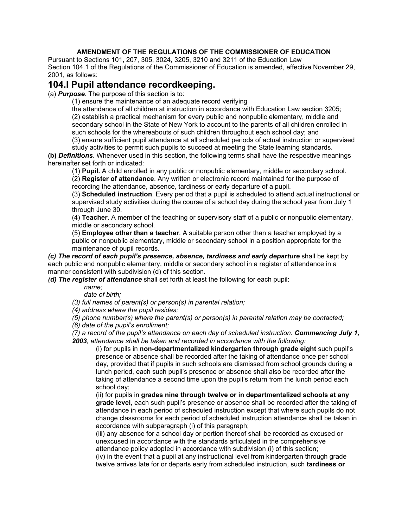## **AMENDMENT OF THE REGULATIONS OF THE COMMISSIONER OF EDUCATION**

Pursuant to Sections 101, 207, 305, 3024, 3205, 3210 and 3211 of the Education Law Section 104.1 of the Regulations of the Commissioner of Education is amended, effective November 29, 2001, as follows:

## **104.l Pupil attendance recordkeeping.**

(a) *Purpose*. The purpose of this section is to:

(1) ensure the maintenance of an adequate record verifying

the attendance of all children at instruction in accordance with Education Law section 3205; (2) establish a practical mechanism for every public and nonpublic elementary, middle and secondary school in the State of New York to account to the parents of all children enrolled in such schools for the whereabouts of such children throughout each school day; and

(3) ensure sufficient pupil attendance at all scheduled periods of actual instruction or supervised study activities to permit such pupils to succeed at meeting the State learning standards.

**(b)** *Definitions*. Whenever used in this section, the following terms shall have the respective meanings hereinafter set forth or indicated:

(1) **Pupil.** A child enrolled in any public or nonpublic elementary, middle or secondary school.

(2) **Register of attendance**. Any written or electronic record maintained for the purpose of recording the attendance, absence, tardiness or early departure of a pupil.

(3) **Scheduled instruction**. Every period that a pupil is scheduled to attend actual instructional or supervised study activities during the course of a school day during the school year from July 1 through June 30.

(4) **Teacher**. A member of the teaching or supervisory staff of a public or nonpublic elementary, middle or secondary school.

(5) **Employee other than a teacher**. A suitable person other than a teacher employed by a public or nonpublic elementary, middle or secondary school in a position appropriate for the maintenance of pupil records.

*(c) The record of each pupil's presence, absence, tardiness and early departure shall be kept by* each public and nonpublic elementary, middle or secondary school in a register of attendance in a manner consistent with subdivision (d) of this section.

*(d) The register of attendance* shall set forth at least the following for each pupil:

*name;*

*date of birth;*

*(3) full names of parent(s) or person(s) in parental relation;*

*(4) address where the pupil resides;*

*(5) phone number(s) where the parent(s) or person(s) in parental relation may be contacted;*

*(6) date of the pupil's enrollment;*

*(7) a record of the pupil's attendance on each day of scheduled instruction. Commencing July 1, 2003, attendance shall be taken and recorded in accordance with the following:*

(i) for pupils in **non-departmentalized kindergarten through grade eight** such pupil's presence or absence shall be recorded after the taking of attendance once per school day, provided that if pupils in such schools are dismissed from school grounds during a lunch period, each such pupil's presence or absence shall also be recorded after the taking of attendance a second time upon the pupil's return from the lunch period each school day;

(ii) for pupils in **grades nine through twelve or in departmentalized schools at any grade level**, each such pupil's presence or absence shall be recorded after the taking of attendance in each period of scheduled instruction except that where such pupils do not change classrooms for each period of scheduled instruction attendance shall be taken in accordance with subparagraph (i) of this paragraph;

(iii) any absence for a school day or portion thereof shall be recorded as excused or unexcused in accordance with the standards articulated in the comprehensive attendance policy adopted in accordance with subdivision (i) of this section;

(iv) in the event that a pupil at any instructional level from kindergarten through grade twelve arrives late for or departs early from scheduled instruction, such **tardiness or**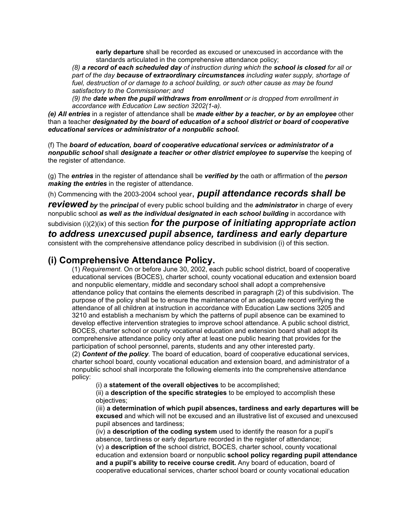**early departure** shall be recorded as excused or unexcused in accordance with the standards articulated in the comprehensive attendance policy;

*(8) a record of each scheduled day of instruction during which the school is closed for all or part of the day because of extraordinary circumstances including water supply, shortage of fuel, destruction of or damage to a school building, or such other cause as may be found satisfactory to the Commissioner; and*

*(9) the date when the pupil withdraws from enrollment or is dropped from enrollment in accordance with Education Law section 3202(1-a).*

*(e) All entries* in a register of attendance shall be *made either by a teacher, or by an employee* other than a teacher *designated by the board of education of a school district or board of cooperative educational services or administrator of a nonpublic school.*

(f) The *board of education, board of cooperative educational services or administrator of a nonpublic school* shall *designate a teacher or other district employee to supervise* the keeping of the register of attendance.

(g) The *entries* in the register of attendance shall be *verified by* the oath or affirmation of the *person making the entries* in the register of attendance.

(h) Commencing with the 2003-2004 school year, *pupil attendance records shall be*

*reviewed by* the *principal* of every public school building and the *administrator* in charge of every nonpublic school *as well as the individual designated in each school building* in accordance with

subdivision (i)(2)(ix) of this section *for the purpose of initiating appropriate action to address unexcused pupil absence, tardiness and early departure*

consistent with the comprehensive attendance policy described in subdivision (i) of this section.

## **(i) Comprehensive Attendance Policy.**

(1) *Requirement*. On or before June 30, 2002, each public school district, board of cooperative educational services (BOCES), charter school, county vocational education and extension board and nonpublic elementary, middle and secondary school shall adopt a comprehensive attendance policy that contains the elements described in paragraph (2) of this subdivision. The purpose of the policy shall be to ensure the maintenance of an adequate record verifying the attendance of all children at instruction in accordance with Education Law sections 3205 and 3210 and establish a mechanism by which the patterns of pupil absence can be examined to develop effective intervention strategies to improve school attendance. A public school district, BOCES, charter school or county vocational education and extension board shall adopt its comprehensive attendance policy only after at least one public hearing that provides for the participation of school personnel, parents, students and any other interested party.

(2) *Content of the policy.* The board of education, board of cooperative educational services, charter school board, county vocational education and extension board, and administrator of a nonpublic school shall incorporate the following elements into the comprehensive attendance policy:

(i) a **statement of the overall objectives** to be accomplished;

(ii) a **description of the specific strategies** to be employed to accomplish these objectives;

(iii) **a determination of which pupil absences, tardiness and early departures will be excused** and which will not be excused and an illustrative list of excused and unexcused pupil absences and tardiness;

(iv) a **description of the coding system** used to identify the reason for a pupil's absence, tardiness or early departure recorded in the register of attendance; (v) a **description of** the school district, BOCES, charter school, county vocational education and extension board or nonpublic **school policy regarding pupil attendance and a pupil's ability to receive course credit.** Any board of education, board of cooperative educational services, charter school board or county vocational education